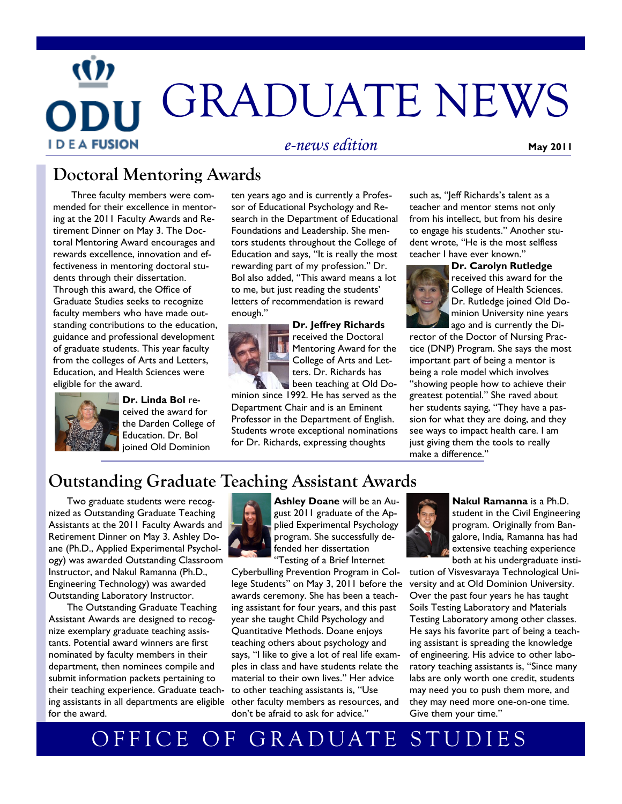# GRADUATE NEWS **I D E A FUSION** *e-news edition* **May 2011**

## **Doctoral Mentoring Awards**

Three faculty members were commended for their excellence in mentoring at the 2011 Faculty Awards and Retirement Dinner on May 3. The Doctoral Mentoring Award encourages and rewards excellence, innovation and effectiveness in mentoring doctoral students through their dissertation. Through this award, the Office of Graduate Studies seeks to recognize faculty members who have made outstanding contributions to the education, guidance and professional development of graduate students. This year faculty from the colleges of Arts and Letters, Education, and Health Sciences were eligible for the award.



**Dr. Linda Bol** received the award for the Darden College of Education. Dr. Bol joined Old Dominion

ten years ago and is currently a Professor of Educational Psychology and Research in the Department of Educational Foundations and Leadership. She mentors students throughout the College of Education and says, "It is really the most rewarding part of my profession." Dr. Bol also added, "This award means a lot to me, but just reading the students' letters of recommendation is reward enough."



**Dr. Jeffrey Richards** received the Doctoral Mentoring Award for the College of Arts and Letters. Dr. Richards has been teaching at Old Do-

minion since 1992. He has served as the Department Chair and is an Eminent Professor in the Department of English. Students wrote exceptional nominations for Dr. Richards, expressing thoughts

such as, "Jeff Richards's talent as a teacher and mentor stems not only from his intellect, but from his desire to engage his students." Another student wrote, "He is the most selfless teacher I have ever known."



**Dr. Carolyn Rutledge**  received this award for the College of Health Sciences. Dr. Rutledge joined Old Dominion University nine years ago and is currently the Di-

rector of the Doctor of Nursing Practice (DNP) Program. She says the most important part of being a mentor is being a role model which involves "showing people how to achieve their greatest potential." She raved about her students saying, "They have a passion for what they are doing, and they see ways to impact health care. I am just giving them the tools to really make a difference."

## **Outstanding Graduate Teaching Assistant Awards**

Two graduate students were recognized as Outstanding Graduate Teaching Assistants at the 2011 Faculty Awards and Retirement Dinner on May 3. Ashley Doane (Ph.D., Applied Experimental Psychology) was awarded Outstanding Classroom Instructor, and Nakul Ramanna (Ph.D., Engineering Technology) was awarded Outstanding Laboratory Instructor.

ing assistants in all departments are eligible other faculty members as resources, and The Outstanding Graduate Teaching Assistant Awards are designed to recognize exemplary graduate teaching assistants. Potential award winners are first nominated by faculty members in their department, then nominees compile and submit information packets pertaining to their teaching experience. Graduate teachfor the award.



**Ashley Doane** will be an August 2011 graduate of the Applied Experimental Psychology program. She successfully defended her dissertation "Testing of a Brief Internet

Cyberbulling Prevention Program in College Students" on May 3, 2011 before the awards ceremony. She has been a teaching assistant for four years, and this past year she taught Child Psychology and Quantitative Methods. Doane enjoys teaching others about psychology and says, "I like to give a lot of real life examples in class and have students relate the material to their own lives." Her advice to other teaching assistants is, "Use don't be afraid to ask for advice."



**Nakul Ramanna** is a Ph.D. student in the Civil Engineering program. Originally from Bangalore, India, Ramanna has had extensive teaching experience both at his undergraduate insti-

tution of Visvesvaraya Technological University and at Old Dominion University. Over the past four years he has taught Soils Testing Laboratory and Materials Testing Laboratory among other classes. He says his favorite part of being a teaching assistant is spreading the knowledge of engineering. His advice to other laboratory teaching assistants is, "Since many labs are only worth one credit, students may need you to push them more, and they may need more one-on-one time. Give them your time."

# OFFICE OF GRADUATE STUDIES